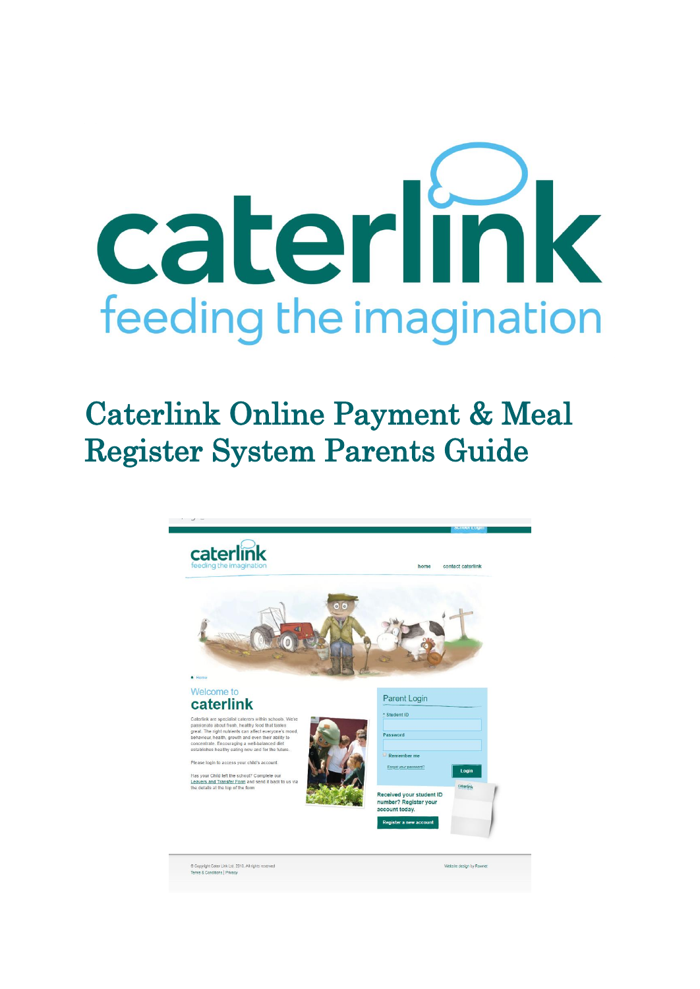

# Caterlink Online Payment & Meal Register System Parents Guide

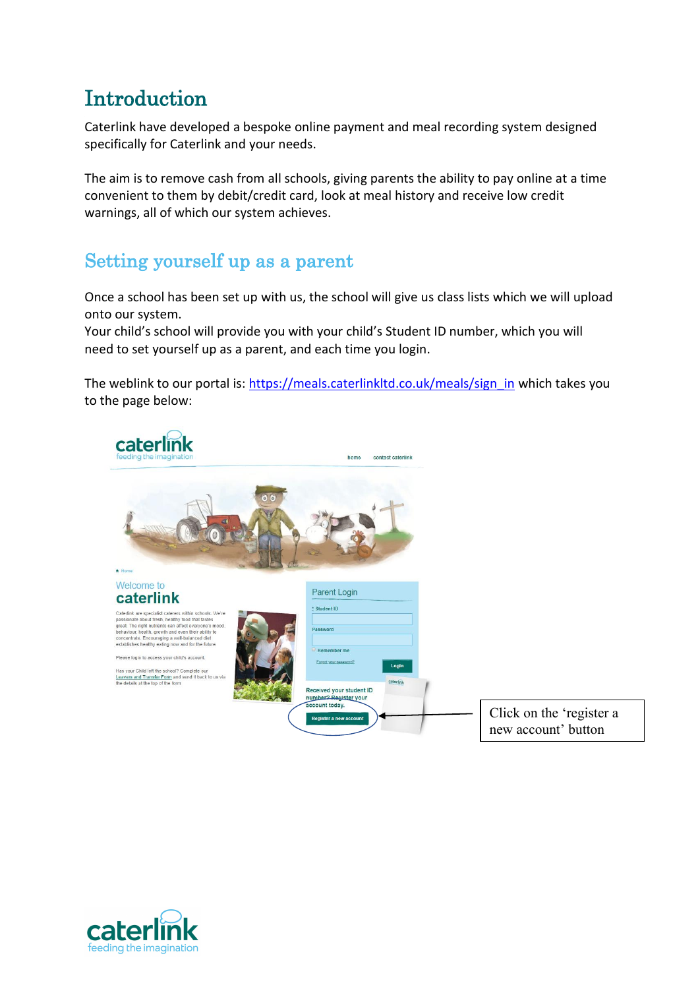### **Introduction**

Caterlink have developed a bespoke online payment and meal recording system designed specifically for Caterlink and your needs.

The aim is to remove cash from all schools, giving parents the ability to pay online at a time convenient to them by debit/credit card, look at meal history and receive low credit warnings, all of which our system achieves.

#### Setting yourself up as a parent

Once a school has been set up with us, the school will give us class lists which we will upload onto our system.

Your child's school will provide you with your child's Student ID number, which you will need to set yourself up as a parent, and each time you login.

The weblink to our portal is[: https://meals.caterlinkltd.co.uk/meals/sign\\_in](https://meals.caterlinkltd.co.uk/meals/sign_in) which takes you to the page below:



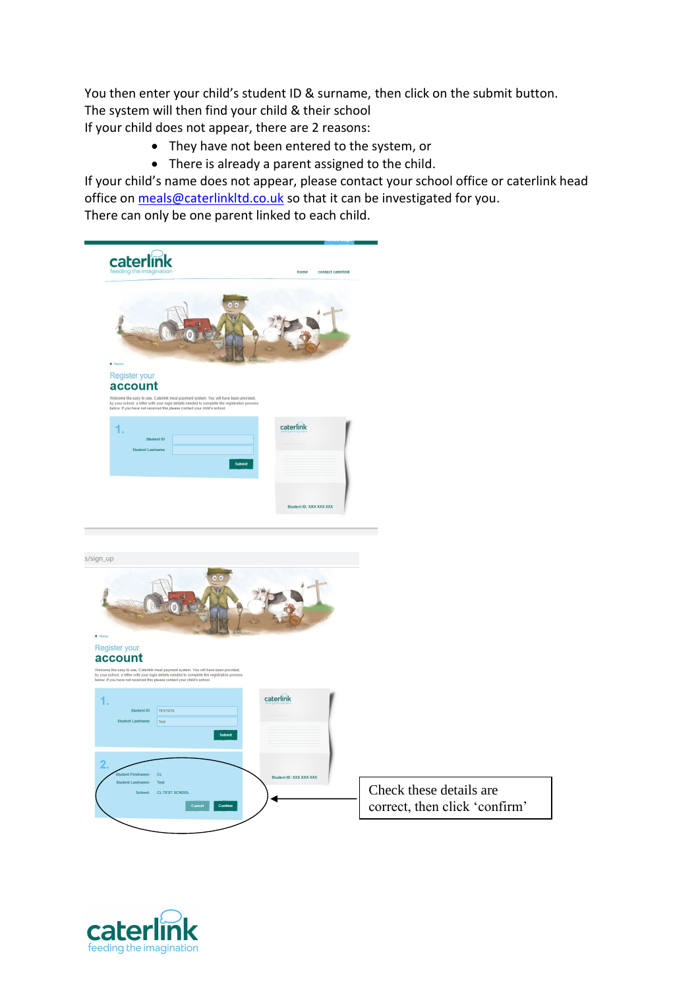You then enter your child's student ID & surname, then click on the submit button. The system will then find your child & their school If your child does not appear, there are 2 reasons:

- They have not been entered to the system, or
- There is already a parent assigned to the child.

If your child's name does not appear, please contact your school office or caterlink head office on [meals@caterlinkltd.co.uk](mailto:meals@caterlinkltd.co.uk) so that it can be investigated for you. There can only be one parent linked to each child.



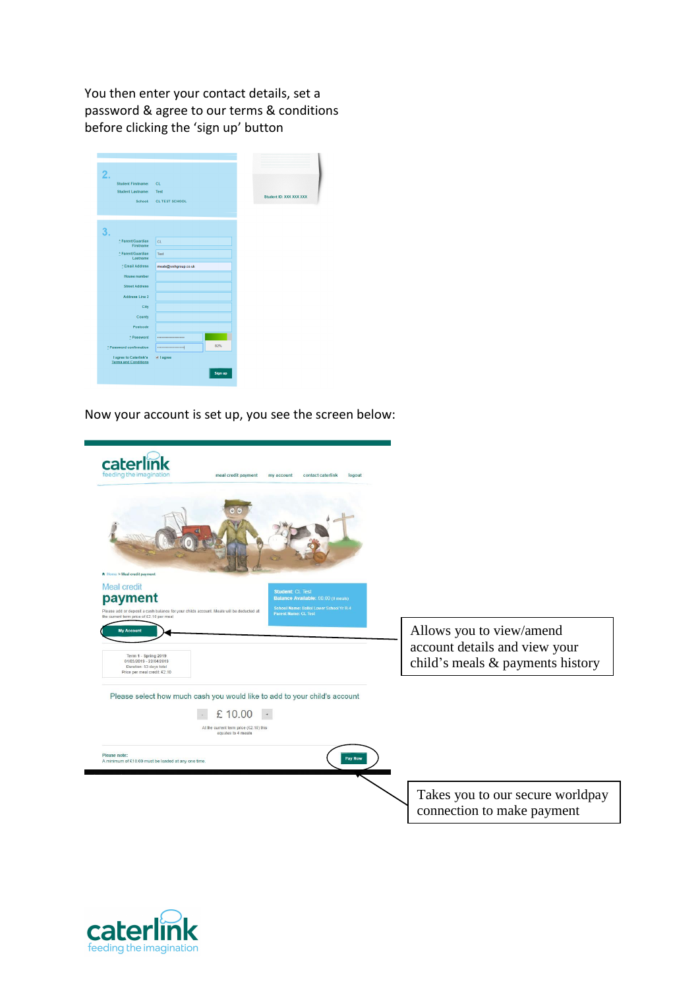You then enter your contact details, set a password & agree to our terms & conditions before clicking the 'sign up' button

| 2.                                                    |                       |         |                         |  |
|-------------------------------------------------------|-----------------------|---------|-------------------------|--|
| <b>Student Firstname:</b>                             | <b>CL</b>             |         |                         |  |
| <b>Student Lastname:</b>                              | Test                  |         |                         |  |
| School:                                               | <b>CL TEST SCHOOL</b> |         | Student ID: XXX XXX XXX |  |
|                                                       |                       |         |                         |  |
|                                                       |                       |         |                         |  |
| 3.                                                    |                       |         |                         |  |
| * Parent/Guardian                                     | <b>CL</b>             |         |                         |  |
| Firstname                                             |                       |         |                         |  |
| * Parent/Guardian<br>Lastname                         | Test                  |         |                         |  |
| * Email Address                                       | meals@wshgroup.co.uk  |         |                         |  |
| House number                                          |                       |         |                         |  |
| <b>Street Address</b>                                 |                       |         |                         |  |
| <b>Address Line 2</b>                                 |                       |         |                         |  |
| City                                                  |                       |         |                         |  |
| County                                                |                       |         |                         |  |
| Postcode                                              |                       |         |                         |  |
| * Password                                            |                       |         |                         |  |
| * Password confirmation                               |                       | 82%     |                         |  |
| I agree to Caterlink's<br><b>Terms and Conditions</b> | <b>Ø I</b> agree      |         |                         |  |
|                                                       |                       | Sign up |                         |  |
|                                                       |                       |         |                         |  |

Now your account is set up, you see the screen below:

| caterl<br>feeding the imagination<br>meal credit payment<br>contact caterlink<br>my account<br>logout                                                                                                                                                                                                            |                                                                                               |
|------------------------------------------------------------------------------------------------------------------------------------------------------------------------------------------------------------------------------------------------------------------------------------------------------------------|-----------------------------------------------------------------------------------------------|
| A Home > Meal credit payment                                                                                                                                                                                                                                                                                     |                                                                                               |
| <b>Meal credit</b><br><b>Student: CL Test</b><br>payment<br>Balance Available: £0.00 (0 meals)<br>School Name: Balliol Lower School Yr R-4<br>Please add or deposit a cash balance for your childs account. Meals will be deducted at<br><b>Parent Name: CL Test</b><br>the current term price of £2.10 per meal |                                                                                               |
| <b>My Account</b><br>Term 1 - Spring 2019<br>01/03/2019 - 22/04/2019<br>Duration: 53 days total<br>Price per meal credit: £2.10                                                                                                                                                                                  | Allows you to view/amend<br>account details and view your<br>child's meals & payments history |
| Please select how much cash you would like to add to your child's account<br>£10.00<br>At the current term price (£2.10) this<br>equates to 4 meals                                                                                                                                                              |                                                                                               |
| Please note:<br>Pay Now<br>A minimum of £10.00 must be loaded at any one time.                                                                                                                                                                                                                                   |                                                                                               |
|                                                                                                                                                                                                                                                                                                                  | Takes you to our secure worldpay<br>connection to make payment                                |

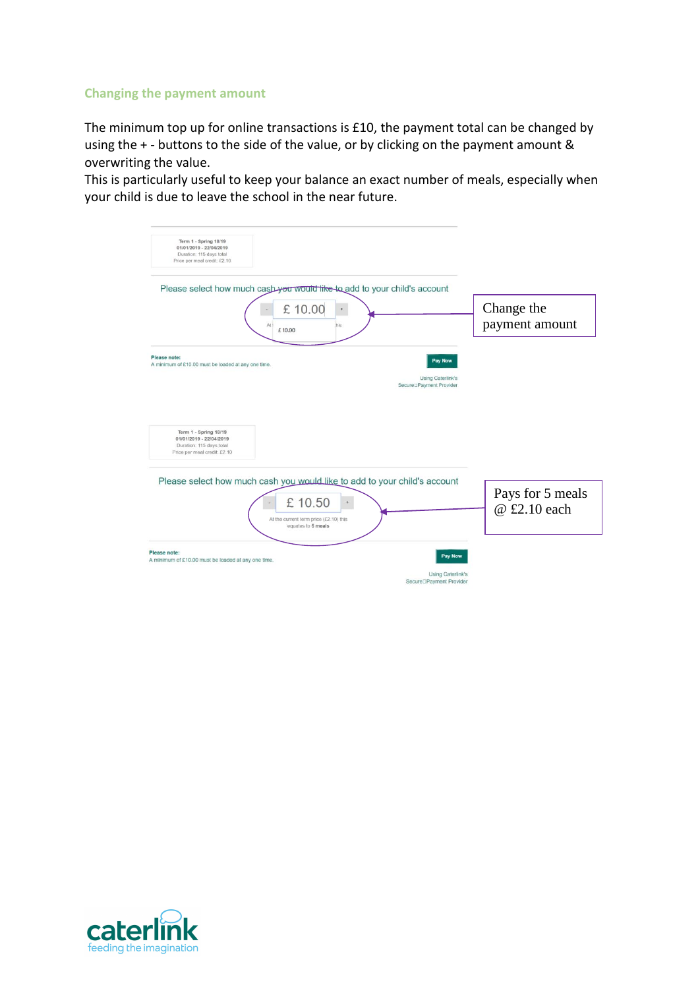#### **Changing the payment amount**

The minimum top up for online transactions is £10, the payment total can be changed by using the + - buttons to the side of the value, or by clicking on the payment amount & overwriting the value.

This is particularly useful to keep your balance an exact number of meals, especially when your child is due to leave the school in the near future.

| Term 1 - Spring 18/19<br>01/01/2019 - 22/04/2019<br>Duration: 115 days total<br>Price per meal credit: £2.10                                        |                                                                   |
|-----------------------------------------------------------------------------------------------------------------------------------------------------|-------------------------------------------------------------------|
| Please select how much cash you would like to add to your child's account                                                                           |                                                                   |
| £10.00<br>At<br>£10.00                                                                                                                              | Change the<br>payment amount<br>his                               |
| Please note:<br>A minimum of £10.00 must be loaded at any one time.                                                                                 | Pay Now                                                           |
|                                                                                                                                                     | <b>Using Caterlink's</b><br>Secure <sup>[]</sup> Payment Provider |
| Term 1 - Spring 18/19<br>01/01/2019 - 22/04/2019<br>Duration: 115 days total<br>Price per meal credit: £2.10                                        |                                                                   |
| Please select how much cash you would like to add to your child's account<br>£10.50<br>At the current term price (£2.10) this<br>equates to 5 meals | Pays for 5 meals<br>$\ddot{}$<br>@ £2.10 each                     |
| Please note:<br>A minimum of £10.00 must be loaded at any one time.                                                                                 | Pay Now                                                           |
|                                                                                                                                                     | Using Caterlink's<br>Secure <sup>D</sup> Payment Provider         |

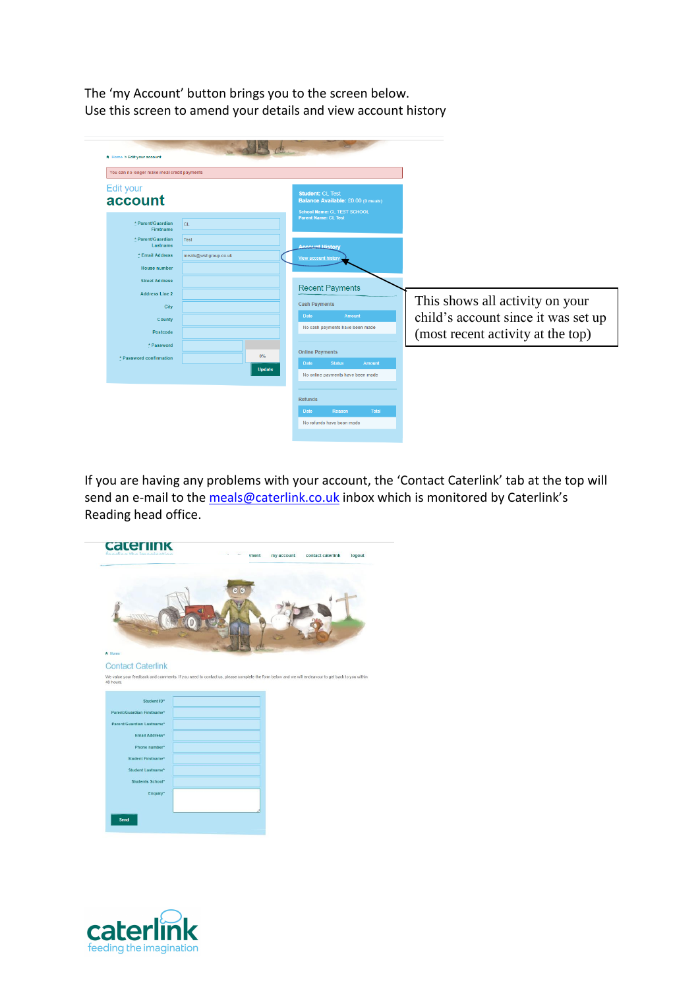The 'my Account' button brings you to the screen below. Use this screen to amend your details and view account history

| You can no longer make meal credit payments                                                |                              |                                                                                                                                    |                                                                                                             |
|--------------------------------------------------------------------------------------------|------------------------------|------------------------------------------------------------------------------------------------------------------------------------|-------------------------------------------------------------------------------------------------------------|
| Edit your<br>account<br>* Parent/Guardian<br><b>Firstname</b>                              | <b>CL</b>                    | <b>Student: CL Test</b><br>Balance Available: £0.00 (0 meals)<br><b>School Name: CL TEST SCHOOL</b><br><b>Parent Name: CL Test</b> |                                                                                                             |
| * Parent/Guardian<br>Lastname<br>* Email Address<br><b>House number</b>                    | Test<br>meals@wshgroup.co.uk | <b>Account History</b><br>View account history                                                                                     |                                                                                                             |
| <b>Street Address</b><br><b>Address Line 2</b><br>City<br>County<br>Postcode<br>* Password |                              | <b>Recent Payments</b><br><b>Cash Payments</b><br>Date<br>Amount<br>No cash payments have been made                                | This shows all activity on your<br>child's account since it was set up<br>(most recent activity at the top) |
| * Password confirmation                                                                    | $0\%$<br><b>Update</b>       | <b>Online Payments</b><br><b>Date</b><br><b>Status</b><br>Amount<br>No online payments have been made                              |                                                                                                             |

If you are having any problems with your account, the 'Contact Caterlink' tab at the top will send an e-mail to the [meals@caterlink.co.uk](mailto:meals@caterlink.co.uk) inbox which is monitored by Caterlink's Reading head office.



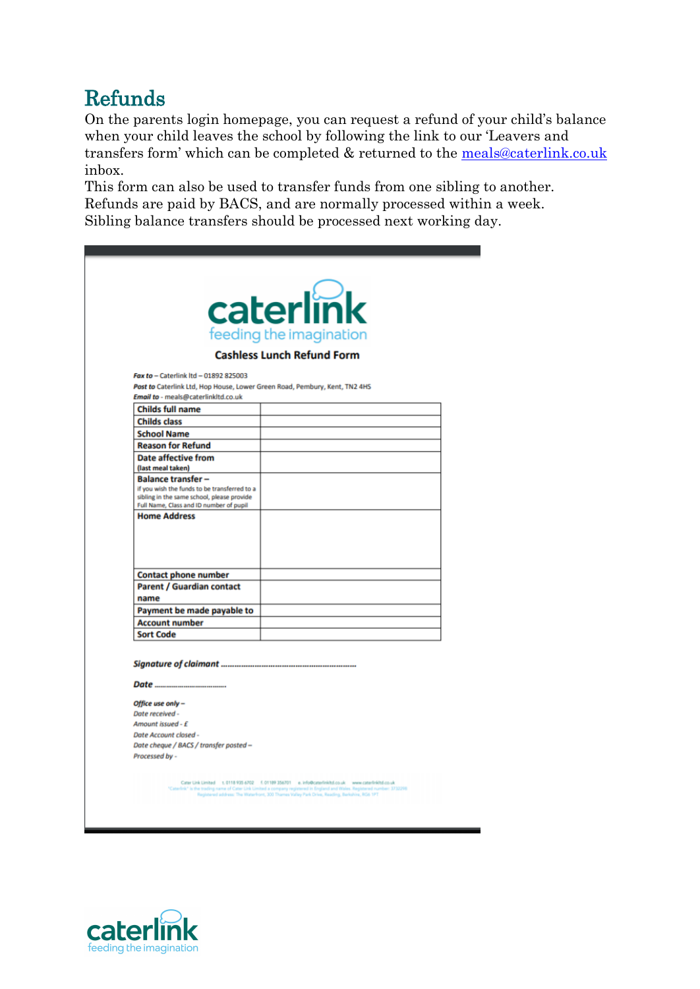## Refunds

On the parents login homepage, you can request a refund of your child's balance when your child leaves the school by following the link to our 'Leavers and transfers form' which can be completed & returned to the [meals@caterlink.co.uk](mailto:meals@caterlink.co.uk) inbox.

This form can also be used to transfer funds from one sibling to another. Refunds are paid by BACS, and are normally processed within a week. Sibling balance transfers should be processed next working day.

|                                                                                            | caterlink                                                                                                                                                                                                                                                                                                                            |
|--------------------------------------------------------------------------------------------|--------------------------------------------------------------------------------------------------------------------------------------------------------------------------------------------------------------------------------------------------------------------------------------------------------------------------------------|
|                                                                                            | feeding the imagination<br><b>Cashless Lunch Refund Form</b>                                                                                                                                                                                                                                                                         |
|                                                                                            |                                                                                                                                                                                                                                                                                                                                      |
| Fax to - Caterlink Itd - 01892 825003                                                      |                                                                                                                                                                                                                                                                                                                                      |
| Post to Caterlink Ltd, Hop House, Lower Green Road, Pembury, Kent, TN2 4HS                 |                                                                                                                                                                                                                                                                                                                                      |
| Email to - meals@caterlinkltd.co.uk                                                        |                                                                                                                                                                                                                                                                                                                                      |
| <b>Childs full name</b>                                                                    |                                                                                                                                                                                                                                                                                                                                      |
| <b>Childs class</b>                                                                        |                                                                                                                                                                                                                                                                                                                                      |
| <b>School Name</b>                                                                         |                                                                                                                                                                                                                                                                                                                                      |
| <b>Reason for Refund</b>                                                                   |                                                                                                                                                                                                                                                                                                                                      |
| <b>Date affective from</b>                                                                 |                                                                                                                                                                                                                                                                                                                                      |
| (last meal taken)                                                                          |                                                                                                                                                                                                                                                                                                                                      |
| <b>Balance transfer-</b>                                                                   |                                                                                                                                                                                                                                                                                                                                      |
| if you wish the funds to be transferred to a<br>sibling in the same school, please provide |                                                                                                                                                                                                                                                                                                                                      |
| Full Name, Class and ID number of pupil                                                    |                                                                                                                                                                                                                                                                                                                                      |
| <b>Contact phone number</b>                                                                |                                                                                                                                                                                                                                                                                                                                      |
| <b>Parent / Guardian contact</b>                                                           |                                                                                                                                                                                                                                                                                                                                      |
| name                                                                                       |                                                                                                                                                                                                                                                                                                                                      |
| Payment be made payable to                                                                 |                                                                                                                                                                                                                                                                                                                                      |
|                                                                                            |                                                                                                                                                                                                                                                                                                                                      |
| <b>Account number</b><br><b>Sort Code</b>                                                  |                                                                                                                                                                                                                                                                                                                                      |
|                                                                                            |                                                                                                                                                                                                                                                                                                                                      |
|                                                                                            |                                                                                                                                                                                                                                                                                                                                      |
| Office use only -                                                                          |                                                                                                                                                                                                                                                                                                                                      |
| Date received -                                                                            |                                                                                                                                                                                                                                                                                                                                      |
| Amount issued - £                                                                          |                                                                                                                                                                                                                                                                                                                                      |
| Date Account closed -                                                                      |                                                                                                                                                                                                                                                                                                                                      |
| Date cheque / BACS / transfer posted -                                                     |                                                                                                                                                                                                                                                                                                                                      |
| Processed by -                                                                             |                                                                                                                                                                                                                                                                                                                                      |
|                                                                                            | Cater Link Limited t. 0118 935 6702 f. 01189 356701 e. info@caterlinkitd.co.uk www.caterlinkitd.co.uk<br>Caterlink" is the trading name of Cater Link Limited a company registered in England and Wales. Registered number: 3732298<br>Registered address: The Waterfront, 300 Thames Valley Park Drive, Reading, Berkshire, RG6 1PT |